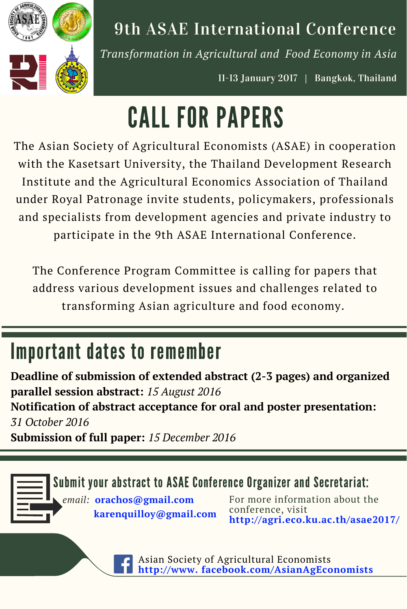

### 9th ASAE International Conference

*Transformation in Agricultural and Food Economy in Asia*

11-13 January 2017 | Bangkok, Thailand

# CALL FOR PAPERS

The Asian Society of Agricultural Economists (ASAE) in cooperation with the Kasetsart University, the Thailand Development Research Institute and the Agricultural Economics Association of Thailand under Royal Patronage invite students, policymakers, professionals and specialists from development agencies and private industry to participate in the 9th ASAE International Conference.

The Conference Program Committee is calling for papers that address various development issues and challenges related to transforming Asian agriculture and food economy.

# Important dates to remember

**Deadline of submission of extended abstract (2-3 pages) and organized parallel session abstract:** *15 August 2016* **Notification of abstract acceptance for oral and poster presentation:** *31 October 2016* **Submission of full paper:** *15 December 2016*

#### Submit your abstract to ASAE Conference Organizer and Secretariat:

*email:* **orachos@gmail.com karenquilloy@gmail.com** For more information about the conference, visit **http://agri.eco.ku.ac.th/asae2017/**

Asian Society of Agricultural Economists **http://www. facebook.com/AsianAgEconomists**